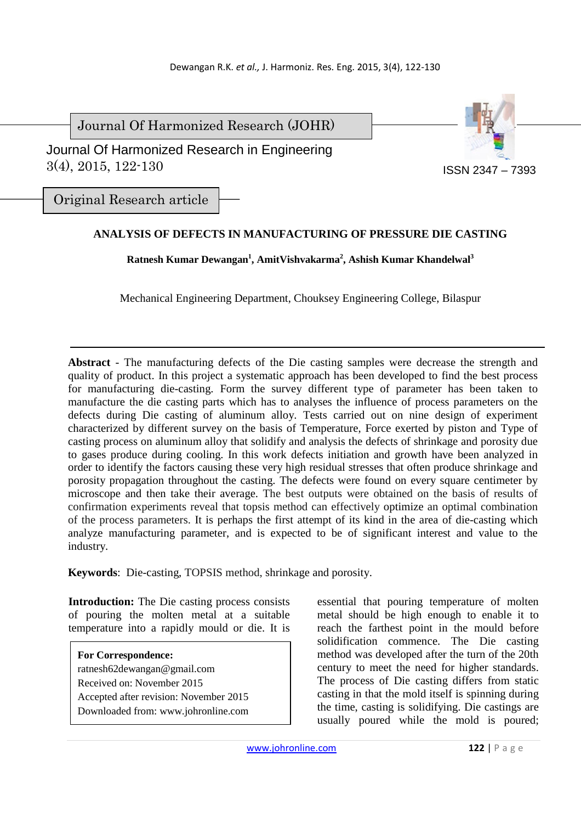Journal Of Harmonized Research (JOHR)



 Journal Of Harmonized Research in Engineering 3(4), 2015, 122-130

Original Research article

## **ANALYSIS OF DEFECTS IN MANUFACTURING OF PRESSURE DIE CASTING**

**Ratnesh Kumar Dewangan<sup>1</sup> , AmitVishvakarma<sup>2</sup> , Ashish Kumar Khandelwal<sup>3</sup>**

Mechanical Engineering Department, Chouksey Engineering College, Bilaspur

**Abstract** - The manufacturing defects of the Die casting samples were decrease the strength and quality of product. In this project a systematic approach has been developed to find the best process for manufacturing die-casting. Form the survey different type of parameter has been taken to manufacture the die casting parts which has to analyses the influence of process parameters on the defects during Die casting of aluminum alloy. Tests carried out on nine design of experiment characterized by different survey on the basis of Temperature, Force exerted by piston and Type of casting process on aluminum alloy that solidify and analysis the defects of shrinkage and porosity due to gases produce during cooling. In this work defects initiation and growth have been analyzed in order to identify the factors causing these very high residual stresses that often produce shrinkage and porosity propagation throughout the casting. The defects were found on every square centimeter by microscope and then take their average. The best outputs were obtained on the basis of results of confirmation experiments reveal that topsis method can effectively optimize an optimal combination of the process parameters. It is perhaps the first attempt of its kind in the area of die-casting which analyze manufacturing parameter, and is expected to be of significant interest and value to the industry.

**Keywords**: Die-casting, TOPSIS method, shrinkage and porosity.

**Introduction:** The Die casting process consists of pouring the molten metal at a suitable temperature into a rapidly mould or die. It is

**For Correspondence:**  ratnesh62dewangan@gmail.com Received on: November 2015 Accepted after revision: November 2015 Downloaded from: www.johronline.com essential that pouring temperature of molten metal should be high enough to enable it to reach the farthest point in the mould before solidification commence. The Die casting method was developed after the turn of the 20th century to meet the need for higher standards. The process of Die casting differs from static casting in that the mold itself is spinning during the time, casting is solidifying. Die castings are usually poured while the mold is poured;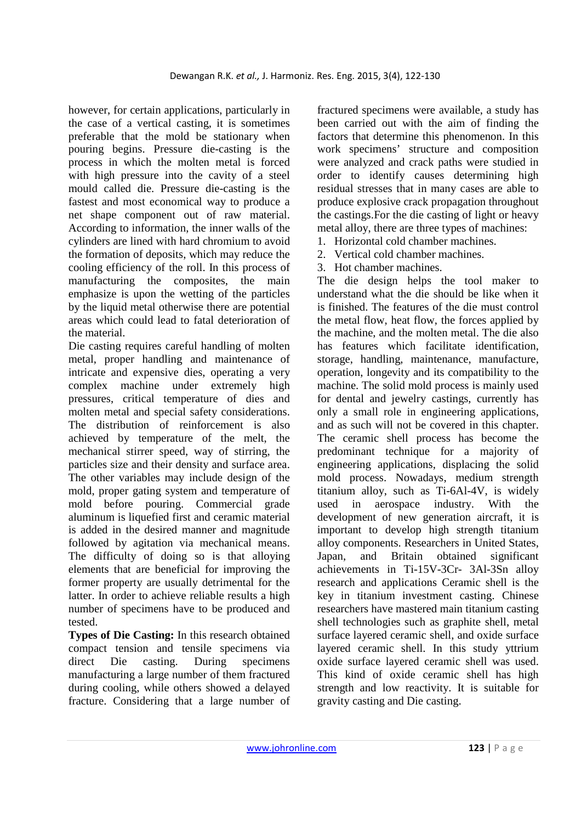however, for certain applications, particularly in the case of a vertical casting, it is sometimes preferable that the mold be stationary when pouring begins. Pressure die-casting is the process in which the molten metal is forced with high pressure into the cavity of a steel mould called die. Pressure die-casting is the fastest and most economical way to produce a net shape component out of raw material. According to information, the inner walls of the cylinders are lined with hard chromium to avoid the formation of deposits, which may reduce the cooling efficiency of the roll. In this process of manufacturing the composites, the main emphasize is upon the wetting of the particles by the liquid metal otherwise there are potential areas which could lead to fatal deterioration of the material.

Die casting requires careful handling of molten metal, proper handling and maintenance of intricate and expensive dies, operating a very complex machine under extremely high pressures, critical temperature of dies and molten metal and special safety considerations. The distribution of reinforcement is also achieved by temperature of the melt, the mechanical stirrer speed, way of stirring, the particles size and their density and surface area. The other variables may include design of the mold, proper gating system and temperature of mold before pouring. Commercial grade aluminum is liquefied first and ceramic material is added in the desired manner and magnitude followed by agitation via mechanical means. The difficulty of doing so is that alloying elements that are beneficial for improving the former property are usually detrimental for the latter. In order to achieve reliable results a high number of specimens have to be produced and tested.

**Types of Die Casting:** In this research obtained compact tension and tensile specimens via direct Die casting. During specimens manufacturing a large number of them fractured during cooling, while others showed a delayed fracture. Considering that a large number of fractured specimens were available, a study has been carried out with the aim of finding the factors that determine this phenomenon. In this work specimens' structure and composition were analyzed and crack paths were studied in order to identify causes determining high residual stresses that in many cases are able to produce explosive crack propagation throughout the castings.For the die casting of light or heavy metal alloy, there are three types of machines:

- 1. Horizontal cold chamber machines.
- 2. Vertical cold chamber machines.
- 3. Hot chamber machines.

The die design helps the tool maker to understand what the die should be like when it is finished. The features of the die must control the metal flow, heat flow, the forces applied by the machine, and the molten metal. The die also has features which facilitate identification, storage, handling, maintenance, manufacture, operation, longevity and its compatibility to the machine. The solid mold process is mainly used for dental and jewelry castings, currently has only a small role in engineering applications, and as such will not be covered in this chapter. The ceramic shell process has become the predominant technique for a majority of engineering applications, displacing the solid mold process. Nowadays, medium strength titanium alloy, such as Ti-6Al-4V, is widely used in aerospace industry. With the development of new generation aircraft, it is important to develop high strength titanium alloy components. Researchers in United States, Japan, and Britain obtained significant achievements in Ti-15V-3Cr- 3Al-3Sn alloy research and applications Ceramic shell is the key in titanium investment casting. Chinese researchers have mastered main titanium casting shell technologies such as graphite shell, metal surface layered ceramic shell, and oxide surface layered ceramic shell. In this study yttrium oxide surface layered ceramic shell was used. This kind of oxide ceramic shell has high strength and low reactivity. It is suitable for gravity casting and Die casting.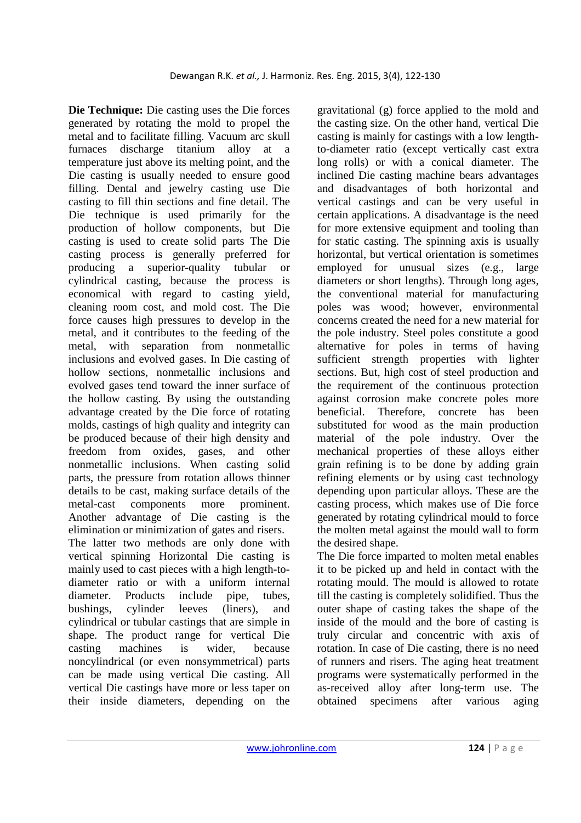**Die Technique:** Die casting uses the Die forces generated by rotating the mold to propel the metal and to facilitate filling. Vacuum arc skull furnaces discharge titanium alloy at a temperature just above its melting point, and the Die casting is usually needed to ensure good filling. Dental and jewelry casting use Die casting to fill thin sections and fine detail. The Die technique is used primarily for the production of hollow components, but Die casting is used to create solid parts The Die casting process is generally preferred for producing a superior-quality tubular or cylindrical casting, because the process is economical with regard to casting yield, cleaning room cost, and mold cost. The Die force causes high pressures to develop in the metal, and it contributes to the feeding of the metal, with separation from nonmetallic inclusions and evolved gases. In Die casting of hollow sections, nonmetallic inclusions and evolved gases tend toward the inner surface of the hollow casting. By using the outstanding advantage created by the Die force of rotating molds, castings of high quality and integrity can be produced because of their high density and freedom from oxides, gases, and other nonmetallic inclusions. When casting solid parts, the pressure from rotation allows thinner details to be cast, making surface details of the metal-cast components more prominent. Another advantage of Die casting is the elimination or minimization of gates and risers. The latter two methods are only done with vertical spinning Horizontal Die casting is mainly used to cast pieces with a high length-todiameter ratio or with a uniform internal diameter. Products include pipe, tubes, bushings, cylinder leeves (liners), and cylindrical or tubular castings that are simple in shape. The product range for vertical Die casting machines is wider, because noncylindrical (or even nonsymmetrical) parts can be made using vertical Die casting. All vertical Die castings have more or less taper on their inside diameters, depending on the

gravitational (g) force applied to the mold and the casting size. On the other hand, vertical Die casting is mainly for castings with a low lengthto-diameter ratio (except vertically cast extra long rolls) or with a conical diameter. The inclined Die casting machine bears advantages and disadvantages of both horizontal and vertical castings and can be very useful in certain applications. A disadvantage is the need for more extensive equipment and tooling than for static casting. The spinning axis is usually horizontal, but vertical orientation is sometimes employed for unusual sizes (e.g., large diameters or short lengths). Through long ages, the conventional material for manufacturing poles was wood; however, environmental concerns created the need for a new material for the pole industry. Steel poles constitute a good alternative for poles in terms of having sufficient strength properties with lighter sections. But, high cost of steel production and the requirement of the continuous protection against corrosion make concrete poles more beneficial. Therefore, concrete has been substituted for wood as the main production material of the pole industry. Over the mechanical properties of these alloys either grain refining is to be done by adding grain refining elements or by using cast technology depending upon particular alloys. These are the casting process, which makes use of Die force generated by rotating cylindrical mould to force the molten metal against the mould wall to form the desired shape.

The Die force imparted to molten metal enables it to be picked up and held in contact with the rotating mould. The mould is allowed to rotate till the casting is completely solidified. Thus the outer shape of casting takes the shape of the inside of the mould and the bore of casting is truly circular and concentric with axis of rotation. In case of Die casting, there is no need of runners and risers. The aging heat treatment programs were systematically performed in the as-received alloy after long-term use. The obtained specimens after various aging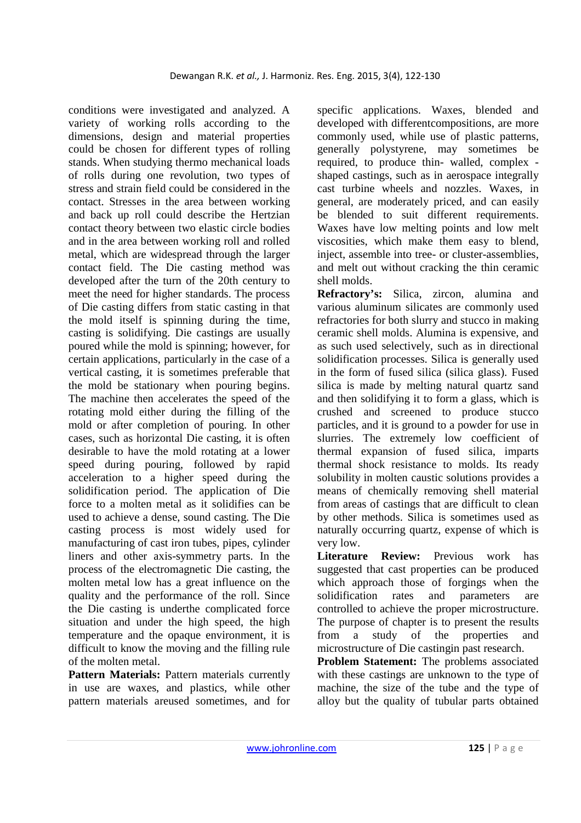conditions were investigated and analyzed. A variety of working rolls according to the dimensions, design and material properties could be chosen for different types of rolling stands. When studying thermo mechanical loads of rolls during one revolution, two types of stress and strain field could be considered in the contact. Stresses in the area between working and back up roll could describe the Hertzian contact theory between two elastic circle bodies and in the area between working roll and rolled metal, which are widespread through the larger contact field. The Die casting method was developed after the turn of the 20th century to meet the need for higher standards. The process of Die casting differs from static casting in that the mold itself is spinning during the time, casting is solidifying. Die castings are usually poured while the mold is spinning; however, for certain applications, particularly in the case of a vertical casting, it is sometimes preferable that the mold be stationary when pouring begins. The machine then accelerates the speed of the rotating mold either during the filling of the mold or after completion of pouring. In other cases, such as horizontal Die casting, it is often desirable to have the mold rotating at a lower speed during pouring, followed by rapid acceleration to a higher speed during the solidification period. The application of Die force to a molten metal as it solidifies can be used to achieve a dense, sound casting. The Die casting process is most widely used for manufacturing of cast iron tubes, pipes, cylinder liners and other axis-symmetry parts. In the process of the electromagnetic Die casting, the molten metal low has a great influence on the quality and the performance of the roll. Since the Die casting is underthe complicated force situation and under the high speed, the high temperature and the opaque environment, it is difficult to know the moving and the filling rule of the molten metal.

Pattern Materials: Pattern materials currently in use are waxes, and plastics, while other pattern materials areused sometimes, and for

specific applications. Waxes, blended and developed with differentcompositions, are more commonly used, while use of plastic patterns, generally polystyrene, may sometimes be required, to produce thin- walled, complex shaped castings, such as in aerospace integrally cast turbine wheels and nozzles. Waxes, in general, are moderately priced, and can easily be blended to suit different requirements. Waxes have low melting points and low melt viscosities, which make them easy to blend, inject, assemble into tree- or cluster-assemblies, and melt out without cracking the thin ceramic shell molds.

**Refractory's:** Silica, zircon, alumina and various aluminum silicates are commonly used refractories for both slurry and stucco in making ceramic shell molds. Alumina is expensive, and as such used selectively, such as in directional solidification processes. Silica is generally used in the form of fused silica (silica glass). Fused silica is made by melting natural quartz sand and then solidifying it to form a glass, which is crushed and screened to produce stucco particles, and it is ground to a powder for use in slurries. The extremely low coefficient of thermal expansion of fused silica, imparts thermal shock resistance to molds. Its ready solubility in molten caustic solutions provides a means of chemically removing shell material from areas of castings that are difficult to clean by other methods. Silica is sometimes used as naturally occurring quartz, expense of which is very low.

**Literature Review:** Previous work has suggested that cast properties can be produced which approach those of forgings when the solidification rates and parameters are controlled to achieve the proper microstructure. The purpose of chapter is to present the results from a study of the properties and microstructure of Die castingin past research.

**Problem Statement:** The problems associated with these castings are unknown to the type of machine, the size of the tube and the type of alloy but the quality of tubular parts obtained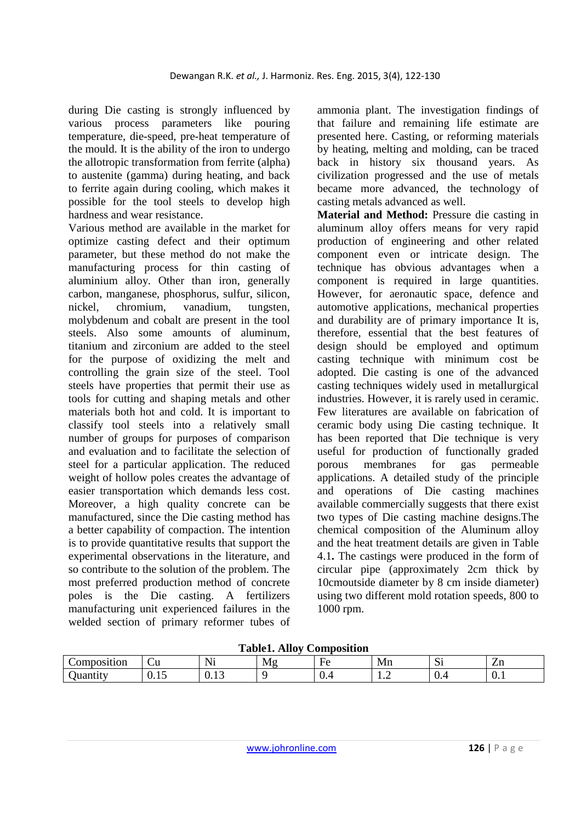during Die casting is strongly influenced by various process parameters like pouring temperature, die-speed, pre-heat temperature of the mould. It is the ability of the iron to undergo the allotropic transformation from ferrite (alpha) to austenite (gamma) during heating, and back to ferrite again during cooling, which makes it possible for the tool steels to develop high hardness and wear resistance.

Various method are available in the market for optimize casting defect and their optimum parameter, but these method do not make the manufacturing process for thin casting of aluminium alloy. Other than iron, generally carbon, manganese, phosphorus, sulfur, silicon, nickel, chromium, vanadium, tungsten, molybdenum and cobalt are present in the tool steels. Also some amounts of aluminum, titanium and zirconium are added to the steel for the purpose of oxidizing the melt and controlling the grain size of the steel. Tool steels have properties that permit their use as tools for cutting and shaping metals and other materials both hot and cold. It is important to classify tool steels into a relatively small number of groups for purposes of comparison and evaluation and to facilitate the selection of steel for a particular application. The reduced weight of hollow poles creates the advantage of easier transportation which demands less cost. Moreover, a high quality concrete can be manufactured, since the Die casting method has a better capability of compaction. The intention is to provide quantitative results that support the experimental observations in the literature, and so contribute to the solution of the problem. The most preferred production method of concrete poles is the Die casting. A fertilizers manufacturing unit experienced failures in the welded section of primary reformer tubes of ammonia plant. The investigation findings of that failure and remaining life estimate are presented here. Casting, or reforming materials by heating, melting and molding, can be traced back in history six thousand years. As civilization progressed and the use of metals became more advanced, the technology of casting metals advanced as well.

**Material and Method:** Pressure die casting in aluminum alloy offers means for very rapid production of engineering and other related component even or intricate design. The technique has obvious advantages when a component is required in large quantities. However, for aeronautic space, defence and automotive applications, mechanical properties and durability are of primary importance It is, therefore, essential that the best features of design should be employed and optimum casting technique with minimum cost be adopted. Die casting is one of the advanced casting techniques widely used in metallurgical industries. However, it is rarely used in ceramic. Few literatures are available on fabrication of ceramic body using Die casting technique. It has been reported that Die technique is very useful for production of functionally graded porous membranes for gas permeable applications. A detailed study of the principle and operations of Die casting machines available commercially suggests that there exist two types of Die casting machine designs.The chemical composition of the Aluminum alloy and the heat treatment details are given in Table 4.1**.** The castings were produced in the form of circular pipe (approximately 2cm thick by 10cmoutside diameter by 8 cm inside diameter) using two different mold rotation speeds, 800 to 1000 rpm.

**Table1. Alloy Composition** 

| _ _ _ _ _ _ _ _ _ _ _ _<br>_<br>----------<br>------------ |             |                        |    |                                  |    |                    |                               |
|------------------------------------------------------------|-------------|------------------------|----|----------------------------------|----|--------------------|-------------------------------|
| omposition                                                 | ~u<br>__    | $\sim$ $\sim$<br>N<br> | Mg | $\sim$<br>$H \Omega$<br>-        | Mn | $\sim$<br>n,       | ∠⊥⊔                           |
| $\sim$ $\sim$<br>uanni                                     | <u>v.ij</u> | v.<br>ب د              |    | $\sqrt{2}$<br>$\mathbf{v} \cdot$ | .  | $\mathbf{v} \cdot$ | $\mathbf{v} \cdot \mathbf{r}$ |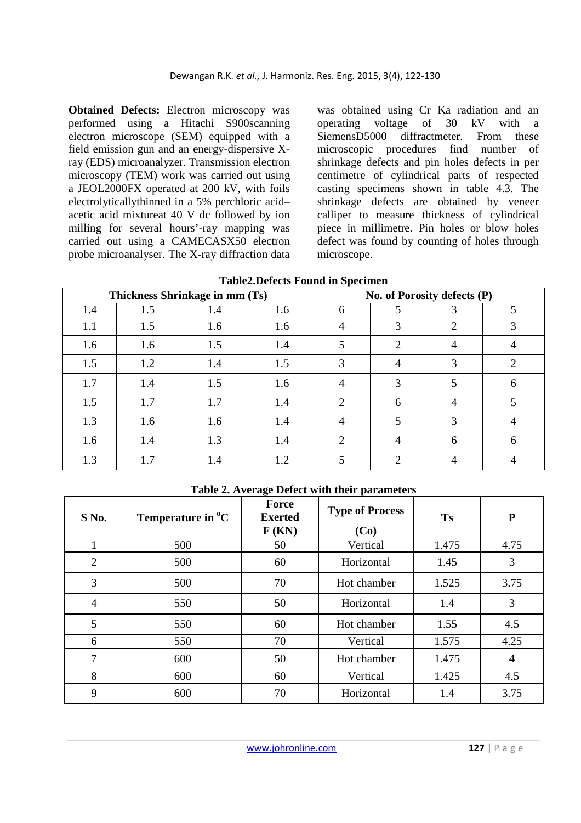**Obtained Defects:** Electron microscopy was performed using a Hitachi S900scanning electron microscope (SEM) equipped with a field emission gun and an energy-dispersive Xray (EDS) microanalyzer. Transmission electron microscopy (TEM) work was carried out using a JEOL2000FX operated at 200 kV, with foils electrolyticallythinned in a 5% perchloric acid– acetic acid mixtureat 40 V dc followed by ion milling for several hours'-ray mapping was carried out using a CAMECASX50 electron probe microanalyser. The X-ray diffraction data was obtained using Cr Ka radiation and an operating voltage of 30 kV with a SiemensD5000 diffractmeter. From these microscopic procedures find number of shrinkage defects and pin holes defects in per centimetre of cylindrical parts of respected casting specimens shown in table 4.3. The shrinkage defects are obtained by veneer calliper to measure thickness of cylindrical piece in millimetre. Pin holes or blow holes defect was found by counting of holes through microscope.

| Thickness Shrinkage in mm (Ts) |     |     |     | No. of Porosity defects (P) |   |                |   |  |
|--------------------------------|-----|-----|-----|-----------------------------|---|----------------|---|--|
| 1.4                            | 1.5 | 1.4 | 1.6 | 6                           | 5 | 3              | 5 |  |
| 1.1                            | 1.5 | 1.6 | 1.6 | 4                           | 3 | 2              | 3 |  |
| 1.6                            | 1.6 | 1.5 | 1.4 |                             | 2 | $\overline{4}$ | 4 |  |
| 1.5                            | 1.2 | 1.4 | 1.5 | 3                           | 4 | 3              | 2 |  |
| 1.7                            | 1.4 | 1.5 | 1.6 |                             | 3 | 5              | 6 |  |
| 1.5                            | 1.7 | 1.7 | 1.4 | 2                           | 6 | 4              | 5 |  |
| 1.3                            | 1.6 | 1.6 | 1.4 | 4                           | 5 | 3              |   |  |
| 1.6                            | 1.4 | 1.3 | 1.4 | $\overline{2}$              | 4 | 6              | 6 |  |
| 1.3                            | 1.7 | 1.4 | 1.2 |                             | 2 |                |   |  |

**Table2.Defects Found in Specimen** 

## **Table 2. Average Defect with their parameters**

| S No.          | Temperature in $^{\circ}C$ | Force<br><b>Exerted</b><br>F(KN) | <b>Type of Process</b><br>(Co) | <b>Ts</b> | ${\bf P}$      |
|----------------|----------------------------|----------------------------------|--------------------------------|-----------|----------------|
|                | 500                        | 50                               | Vertical                       | 1.475     | 4.75           |
| $\overline{2}$ | 500                        | 60                               | Horizontal                     | 1.45      | 3              |
| 3              | 500                        | 70                               | Hot chamber                    | 1.525     | 3.75           |
| $\overline{4}$ | 550                        | 50                               | Horizontal                     | 1.4       | 3              |
| 5              | 550                        | 60                               | Hot chamber                    | 1.55      | 4.5            |
| 6              | 550                        | 70                               | Vertical                       | 1.575     | 4.25           |
| 7              | 600                        | 50                               | Hot chamber                    | 1.475     | $\overline{4}$ |
| 8              | 600                        | 60                               | Vertical                       | 1.425     | 4.5            |
| 9              | 600                        | 70                               | Horizontal                     | 1.4       | 3.75           |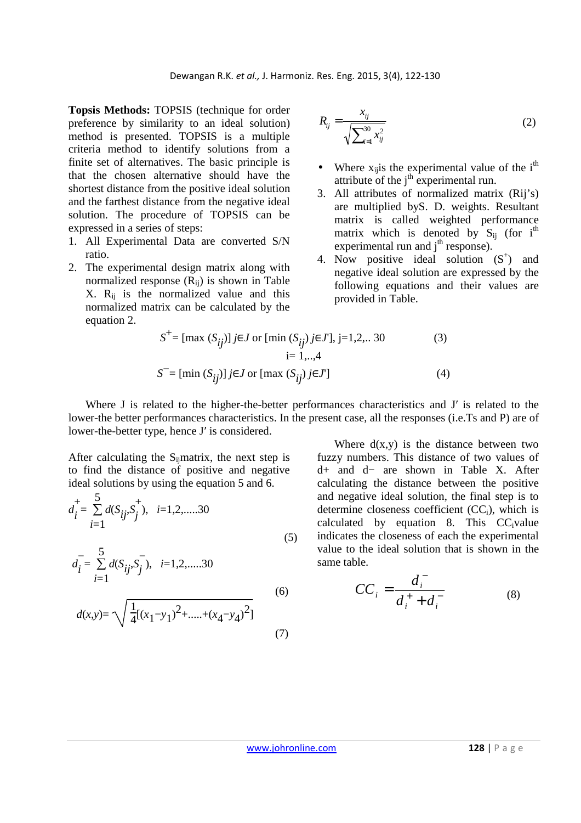**Topsis Methods:** TOPSIS (technique for order preference by similarity to an ideal solution) method is presented. TOPSIS is a multiple criteria method to identify solutions from a finite set of alternatives. The basic principle is that the chosen alternative should have the shortest distance from the positive ideal solution and the farthest distance from the negative ideal solution. The procedure of TOPSIS can be expressed in a series of steps:

- 1. All Experimental Data are converted S/N ratio.
- 2. The experimental design matrix along with normalized response  $(R_{ii})$  is shown in Table  $X. R_{ii}$  is the normalized value and this normalized matrix can be calculated by the equation 2.

$$
R_{ij} = \frac{x_{ij}}{\sqrt{\sum_{i=1}^{30} x_{ij}^2}}
$$
 (2)

- Where  $x_{ij}$  is the experimental value of the i<sup>th</sup> attribute of the  $j<sup>th</sup>$  experimental run.
- 3. All attributes of normalized matrix (Rij's) are multiplied byS. D. weights. Resultant matrix is called weighted performance matrix which is denoted by  $S_{ii}$  (for i<sup>th</sup>) experimental run and  $j<sup>th</sup>$  response).
- 4. Now positive ideal solution  $(S^+)$  and negative ideal solution are expressed by the following equations and their values are provided in Table.

$$
S^{+} = [\max (S_{ij})] j \in J \text{ or } [\min (S_{ij}) j \in J], j = 1, 2, ... 30
$$
  
\n
$$
i = 1, ... , 4
$$
  
\n
$$
S^{-} = [\min (S_{ij})] j \in J \text{ or } [\max (S_{ij}) j \in J']
$$
 (4)

Where J is related to the higher-the-better performances characteristics and J' is related to the lower-the better performances characteristics. In the present case, all the responses (i.e.Ts and P) are of lower-the-better type, hence J′ is considered.

After calculating the  $S_{ii}$ matrix, the next step is to find the distance of positive and negative ideal solutions by using the equation 5 and 6.

$$
d_{i}^{+} = \sum_{i=1}^{5} d(S_{ij}, S_{j}^{+}), \quad i=1,2,\dots,30
$$
\n(5)

$$
d_i = \sum_{i=1}^{5} d(S_{ij}, S_j), \quad i = 1, 2, \dots, 30
$$
\n(6)

$$
d(x,y) = \sqrt{\frac{1}{4}[(x_1 - y_1)^2 + \dots + (x_4 - y_4)^2]}
$$
(7)

Where 
$$
d(x,y)
$$
 is the distance between two fuzzy numbers. This distance of two values of  $d+$  and  $d-$  are shown in Table X. After calculating the distance between the positive and negative ideal solution, the final step is to determine closeness coefficient (CC<sub>i</sub>), which is calculated by equation 8. This CC<sub>i</sub>value indicates the closeness of each the experimental value to the ideal solution that is shown in the same table.

$$
CC_i = \frac{d_i^-}{d_i^+ + d_i^-}
$$
 (8)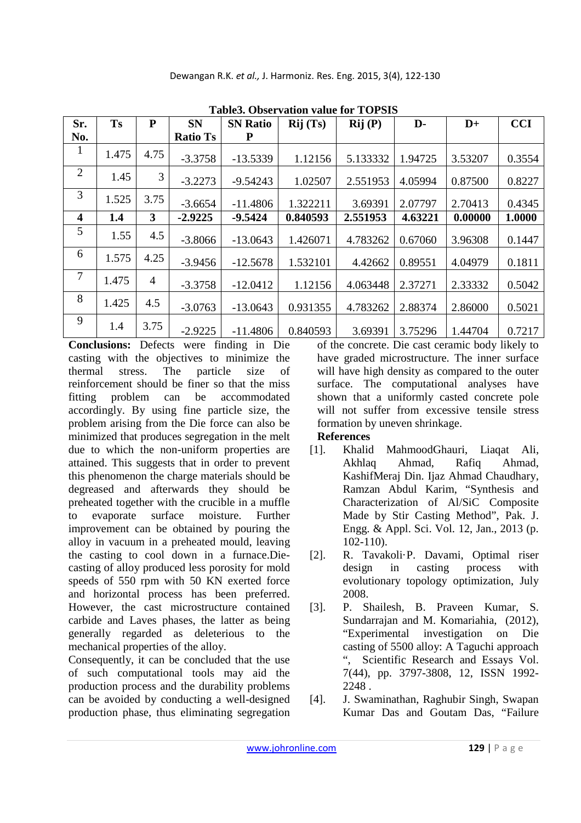| Sr.            | <b>Ts</b> | P              | <b>SN</b>       | <b>SN Ratio</b> | Rij(Ts)  | Rij(P)   | D-      | $D+$    | <b>CCI</b> |
|----------------|-----------|----------------|-----------------|-----------------|----------|----------|---------|---------|------------|
| No.            |           |                | <b>Ratio Ts</b> | P               |          |          |         |         |            |
| 1              | 1.475     | 4.75           | $-3.3758$       | $-13.5339$      | 1.12156  | 5.133332 | 1.94725 | 3.53207 | 0.3554     |
| 2              | 1.45      | 3              | $-3.2273$       | $-9.54243$      | 1.02507  | 2.551953 | 4.05994 | 0.87500 | 0.8227     |
| 3              | 1.525     | 3.75           | $-3.6654$       | $-11.4806$      | 1.322211 | 3.69391  | 2.07797 | 2.70413 | 0.4345     |
| 4              | 1.4       | $3^{\circ}$    | $-2.9225$       | $-9.5424$       | 0.840593 | 2.551953 | 4.63221 | 0.00000 | 1.0000     |
| 5              | 1.55      | 4.5            | $-3.8066$       | $-13.0643$      | 1.426071 | 4.783262 | 0.67060 | 3.96308 | 0.1447     |
| 6              | 1.575     | 4.25           | $-3.9456$       | $-12.5678$      | 1.532101 | 4.42662  | 0.89551 | 4.04979 | 0.1811     |
| $\overline{7}$ | 1.475     | $\overline{4}$ | $-3.3758$       | $-12.0412$      | 1.12156  | 4.063448 | 2.37271 | 2.33332 | 0.5042     |
| 8              | 1.425     | 4.5            | $-3.0763$       | $-13.0643$      | 0.931355 | 4.783262 | 2.88374 | 2.86000 | 0.5021     |
| 9              | 1.4       | 3.75           | $-2.9225$       | $-11.4806$      | 0.840593 | 3.69391  | 3.75296 | 1.44704 | 0.7217     |

**Conclusions:** Defects were finding in Die casting with the objectives to minimize the thermal stress. The particle size of reinforcement should be finer so that the miss fitting problem can be accommodated accordingly. By using fine particle size, the problem arising from the Die force can also be minimized that produces segregation in the melt due to which the non-uniform properties are attained. This suggests that in order to prevent this phenomenon the charge materials should be degreased and afterwards they should be preheated together with the crucible in a muffle to evaporate surface moisture. Further improvement can be obtained by pouring the alloy in vacuum in a preheated mould, leaving the casting to cool down in a furnace.Diecasting of alloy produced less porosity for mold speeds of 550 rpm with 50 KN exerted force and horizontal process has been preferred. However, the cast microstructure contained carbide and Laves phases, the latter as being generally regarded as deleterious to the mechanical properties of the alloy.

Consequently, it can be concluded that the use of such computational tools may aid the production process and the durability problems can be avoided by conducting a well-designed production phase, thus eliminating segregation

of the concrete. Die cast ceramic body likely to have graded microstructure. The inner surface will have high density as compared to the outer surface. The computational analyses have shown that a uniformly casted concrete pole will not suffer from excessive tensile stress formation by uneven shrinkage.

## **References**

- [1]. Khalid MahmoodGhauri, Liaqat Ali, Akhlaq Ahmad, Rafiq Ahmad, KashifMeraj Din. Ijaz Ahmad Chaudhary, Ramzan Abdul Karim, "Synthesis and Characterization of Al/SiC Composite Made by Stir Casting Method", Pak. J. Engg. & Appl. Sci. Vol. 12, Jan., 2013 (p. 102-110).
- [2]. R. Tavakoli·P. Davami, Optimal riser design in casting process with evolutionary topology optimization, July 2008.
- [3]. P. Shailesh, B. Praveen Kumar, S. Sundarrajan and M. Komariahia, (2012), "Experimental investigation on Die casting of 5500 alloy: A Taguchi approach ", Scientific Research and Essays Vol. 7(44), pp. 3797-3808, 12, ISSN 1992- 2248 .
- [4]. J. Swaminathan, Raghubir Singh, Swapan Kumar Das and Goutam Das, "Failure